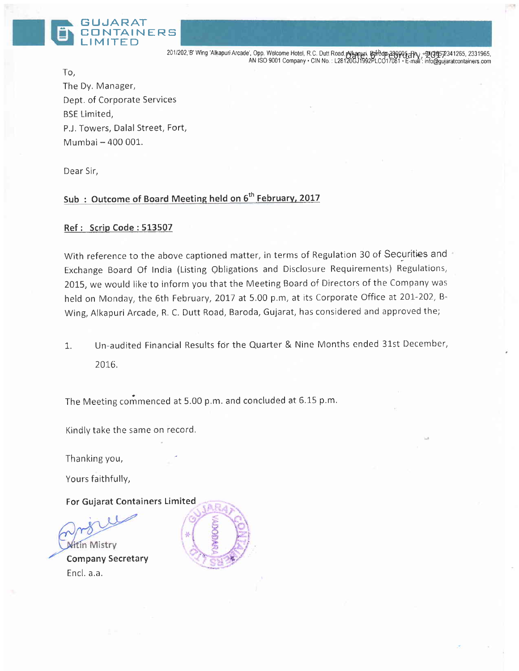

201/202, B' Wing 'Alkapuri Arcade', Opp. Welcome Hotel, R.C. Dutt Road, Alsapuri, 846dp-499905-1h, 19965-2311265,<br>AN ISO 9001 Company • CIN No.: L28120GJ1992PLCO17081 • E-mail: info@gujaratcontainers.com

To, The Dy, Manager, Dept. of Corporate Services BSE Limited, P.J. Towers, Dalal Street, Fort, Mumbai - 400 001.

Dear Sir,

## Sub: Outcome of Board Meeting held on 6<sup>th</sup> February, 2017

#### Ref: Scrip Code : 513507

With reference to the above captioned matter, in terms of Regulation 30 of Securities and Exchange Board Of India (Listing Qbligations and Disclosure Requirements) Regulations, 2OI5, we would like'to inform you that the Meeting Board of Directors of the Company was held on Monday, the 6th February, 2017 at 5.00 p.m, at its Corporate Office at 201-202, B-Wing, Alkapuri Arcade, R. C, Dutt Road, Baroda, Gujarat, has considered and approved the;

1. Un-audited Financial Results for the Quarter & Nine Months ended 31st December, ZUIO.

The Meeting commenced at 5.00 p.m. and concluded at 6.15 p.m.

Kindlv take the same on record.

Thanking you,

Yours faithfully,

For Gujarat Containers Limited

**Witin Mistry** Company Secretary Encl. a.a,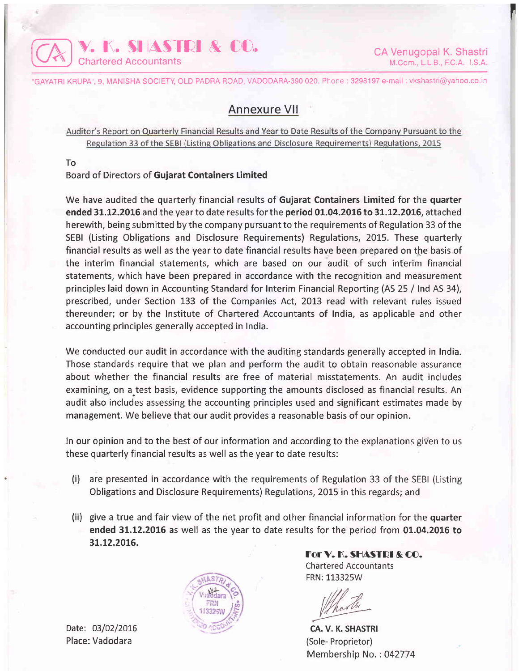

I

'GAYATRI KRUPA", 9, MANISHA SOCIETY, OLD PADRA ROAD, VADODARA-390 020. Phone : 3298197 e-mail : vkshastri@yahoo.co.in

# Annexure Vll

Auditor's Report on Quarterly Financial Results and Year to Date Results of the Company Pursuant to the Regulation 33 of the SEBI (Listing Obligations and Disclosure Requirements) Regulations, 2015

To

#### Board of Directors of Gujarat Containers Limited

We have audited the quarterly financial results of Gujarat Containers Limited for the quarter ended 31.12.2016 and the year to date results for the period 01.04.2016 to 31.12.2016, attached herewith, being submitted by the company pursuant to the requirements of Regulation 33 of the SEBI (Listing Obligations and Disclosure Requirements) Regulations, 2015. These quarterly financial results as well as the year to date financial results have been prepared on the basis of the interim financial statements, which are based on our audit of such inferim financial statements, which have been prepared in accordance with the recognition and measurement principles laid down in Accounting Standard for Interim Financial Reporting (AS 25 / Ind AS 34), prescribed, under Section 133 of the Companies Act, 2013 read with relevant rules issued thereunder; or by the lnstitute of Chartered Accountants of India, as applicable and other accounting principles generally accepted in India.

We conducted our audit in accordance with the auditing standards generally accepted in India. Those standards require that we plan and perform the audit to obtain reasonable assurance about whether the financial results are free of material misstatements. An audit includes examining, on a test basis, evidence supporting the amounts disclosed as financial results. An audit also includes assessing the accounting principles used and significant estimates made by management. We believe that our audit provides a reasonable basis of our opinion.

In our opinion and to the best of our information and according to the explanations given to us these quarterly financial results as well as the year to date results:

- (i) are presented in accordance with the requirements of Regulation 33 of the SEBI (Listing Obligations and Disclosure Requirements) Regulations, 2015 in this regards; and
- (ii) give a true and fair view of the net profit and other financial information for the quarter ended 31.12.2016 as well as the year to date results for the period from 01.04.2016 to 3L.t2.20L6.



For V. K. SHASTRI & CO. Chartered Accountants FRN: 113325W

CA. V. K. SHASTRI (Sole- Proprietor) Membership No.: 042774

Date: 03/02/2016 Place: Vadodara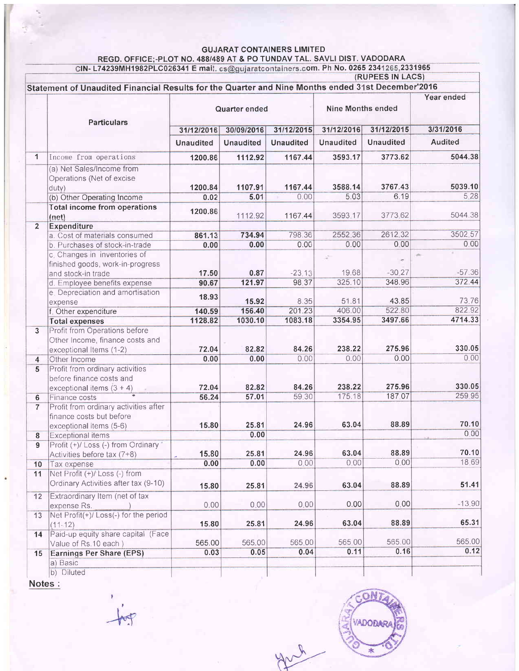GUJARAT CONTAINERS LIMITED<br>REGD. OFFICE;-PLOT NO. 488/489 AT & PO TUNDAV TAL. SAVLI DIST. VADODARA<br>CIN- L74239MH1982PLC026341 E mail. cs@gujaratcontainers.com. Ph No. 0265 2341265,2331965

|                         | Statement of Unaudited Financial Results for the Quarter and Nine Months ended 31st December'2016<br><b>Particulars</b> | Quarter ended                  |                                |                                | Nine Months ended              |                                | Year ended                  |
|-------------------------|-------------------------------------------------------------------------------------------------------------------------|--------------------------------|--------------------------------|--------------------------------|--------------------------------|--------------------------------|-----------------------------|
|                         |                                                                                                                         | 31/12/2016<br><b>Unaudited</b> | 30/09/2016<br><b>Unaudited</b> | 31/12/2015<br><b>Unaudited</b> | 31/12/2016<br><b>Unaudited</b> | 31/12/2015<br><b>Unaudited</b> | 3/31/2016<br><b>Audited</b> |
|                         |                                                                                                                         |                                |                                |                                |                                |                                |                             |
| $\mathbf{1}$            | Income from operations                                                                                                  | 1200.86                        | 1112.92                        | 1167.44                        | 3593.17                        | 3773.62                        | 5044.38                     |
|                         | (a) Net Sales/Income from<br>Operations (Net of excise<br>duty)                                                         | 1200.84                        | 1107.91                        | 1167.44                        | 3588.14                        | 3767.43                        | 5039.10                     |
|                         | (b) Other Operating Income                                                                                              | 0.02                           | 5.01                           | 0.00                           | 5.03                           | 6.19                           | 5.28                        |
|                         | <b>Total income from operations</b><br>(net)                                                                            | 1200.86                        | 1112.92                        | 1167.44                        | 3593.17                        | 3773.62                        | 5044.38                     |
| $\overline{2}$          | <b>Expenditure</b>                                                                                                      |                                |                                |                                |                                |                                |                             |
|                         | a. Cost of materials consumed                                                                                           | 861.13                         | 734.94                         | 798.36                         | 2552.36                        | 2612.32                        | 3502.57                     |
|                         | b. Purchases of stock-in-trade                                                                                          | 0.00                           | 0.00                           | 0.00                           | 0.00                           | 0.00                           | 0.00                        |
|                         | c. Changes in inventories of<br>finished goods, work-in-progress                                                        |                                |                                |                                | à.                             |                                | $-57.36$                    |
|                         | and stock-in trade                                                                                                      | 17.50                          | 0.87                           | $-23.13$                       | 19.68                          | $-30.27$                       | 372.44                      |
|                         | d. Employee benefits expense                                                                                            | 90.67                          | 121.97                         | 98.37                          | 325.10                         | 348.96                         |                             |
|                         | e. Depreciation and amortisation<br>expense                                                                             | 18.93                          | 15.92                          | 8.35                           | 51.81                          | 43.85                          | 73.76                       |
|                         | f. Other expenditure                                                                                                    | 140.59                         | 156.40                         | 201.23                         | 406.00                         | 522.80                         | 822.92                      |
|                         | <b>Total expenses</b>                                                                                                   | 1128.82                        | 1030.10                        | 1083.18                        | 3354.95                        | 3497.66                        | 4714.33                     |
| $\overline{3}$          | Profit from Operations before<br>Other Income, finance costs and<br>exceptional Items (1-2)                             | 72.04                          | 82.82                          | 84.26                          | 238.22                         | 275.96                         | 330.05                      |
| $\overline{\mathbf{4}}$ | Other Income                                                                                                            | 0.00                           | 0.00                           | 0.00                           | 0.00                           | 0.00                           | 0.00                        |
| 5                       | Profit from ordinary activities<br>before finance costs and<br>exceptional items $(3 + 4)$                              | 72.04                          | 82.82                          | 84.26                          | 238.22                         | 275.96                         | 330.05                      |
| 6                       | Finance costs                                                                                                           | 56.24                          | 57.01                          | 59.30                          | 175.18                         | 187.07                         | 259.95                      |
| 7                       | Profit from ordinary activities after<br>finance costs but before<br>exceptional items (5-6)                            | 15.80                          | 25.81                          | 24.96                          | 63.04                          | 88.89                          | 70.10                       |
| 8                       | <b>Exceptional items</b>                                                                                                |                                | 0.00                           |                                |                                |                                | 0.00                        |
| 9                       | Profit (+)/ Loss (-) from Ordinary<br>Activities before tax (7+8)                                                       | 15.80                          | 25.81                          | 24.96                          | 63.04                          | 88.89                          | 70.10                       |
| 10                      | Tax expense                                                                                                             | 0.00                           | 0.00                           | 0.00                           | 0.00                           | 0.00                           | 18 69                       |
| 11                      | Net Profit (+)/ Loss (-) from<br>Ordinary Activities after tax (9-10)                                                   | 15.80                          | 25.81                          | 24.96                          | 63.04                          | 88.89                          | 51.41                       |
| 12                      | Extraordinary Item (net of tax                                                                                          |                                |                                |                                |                                |                                |                             |
|                         | expense Rs.                                                                                                             | 0.00                           | 0.00                           | 0,00                           | 0.00                           | 0.00                           | $-13.90$                    |
| 13                      | Net Profit(+)/Loss(-) for the period<br>$(11 - 12)$                                                                     | 15.80                          | 25.81                          | 24.96                          | 63.04                          | 88.89                          | 65.31                       |
| 14                      | Paid-up equity share capital (Face<br>Value of Rs.10 each)                                                              | 565.00                         | 565.00                         | 565.00                         | 565.00                         | 565.00                         | 565.00                      |
| 15                      | <b>Earnings Per Share (EPS)</b>                                                                                         | 0.03                           | 0.05                           | 0.04                           | 0.11                           | 0.16                           | 0.12                        |
|                         | a) Basic                                                                                                                |                                |                                |                                |                                |                                |                             |
|                         | b) Diluted                                                                                                              |                                |                                |                                |                                |                                |                             |

Notes :

 $\frac{1}{\sqrt{2}}$ 

**VADOFIAS** 麦

gach